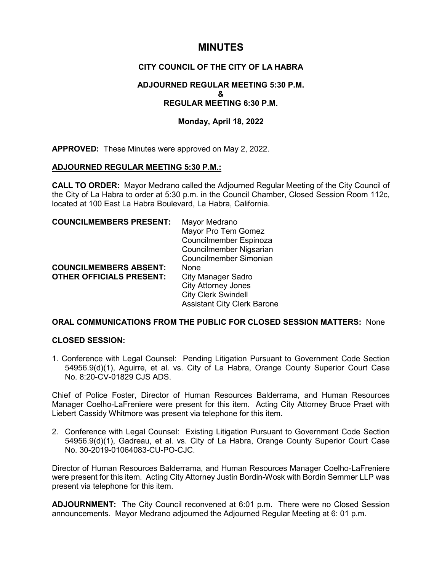# **MINUTES**

# **CITY COUNCIL OF THE CITY OF LA HABRA**

# **ADJOURNED REGULAR MEETING 5:30 P.M. & REGULAR MEETING 6:30 P.M.**

# **Monday, April 18, 2022**

**APPROVED:** These Minutes were approved on May 2, 2022.

### **ADJOURNED REGULAR MEETING 5:30 P.M.:**

**CALL TO ORDER:** Mayor Medrano called the Adjourned Regular Meeting of the City Council of the City of La Habra to order at 5:30 p.m. in the Council Chamber, Closed Session Room 112c, located at 100 East La Habra Boulevard, La Habra, California.

| <b>COUNCILMEMBERS PRESENT:</b>  | Mayor Medrano                      |
|---------------------------------|------------------------------------|
|                                 | Mayor Pro Tem Gomez                |
|                                 | Councilmember Espinoza             |
|                                 | Councilmember Nigsarian            |
|                                 | Councilmember Simonian             |
| <b>COUNCILMEMBERS ABSENT:</b>   | None                               |
| <b>OTHER OFFICIALS PRESENT:</b> | <b>City Manager Sadro</b>          |
|                                 | <b>City Attorney Jones</b>         |
|                                 | <b>City Clerk Swindell</b>         |
|                                 | <b>Assistant City Clerk Barone</b> |

# **ORAL COMMUNICATIONS FROM THE PUBLIC FOR CLOSED SESSION MATTERS:** None

### **CLOSED SESSION:**

1. Conference with Legal Counsel: Pending Litigation Pursuant to Government Code Section 54956.9(d)(1), Aguirre, et al. vs. City of La Habra, Orange County Superior Court Case No. 8:20-CV-01829 CJS ADS.

Chief of Police Foster, Director of Human Resources Balderrama, and Human Resources Manager Coelho-LaFreniere were present for this item. Acting City Attorney Bruce Praet with Liebert Cassidy Whitmore was present via telephone for this item.

2. Conference with Legal Counsel: Existing Litigation Pursuant to Government Code Section 54956.9(d)(1), Gadreau, et al. vs. City of La Habra, Orange County Superior Court Case No. 30-2019-01064083-CU-PO-CJC.

Director of Human Resources Balderrama, and Human Resources Manager Coelho-LaFreniere were present for this item. Acting City Attorney Justin Bordin-Wosk with Bordin Semmer LLP was present via telephone for this item.

**ADJOURNMENT:** The City Council reconvened at 6:01 p.m. There were no Closed Session announcements. Mayor Medrano adjourned the Adjourned Regular Meeting at 6: 01 p.m.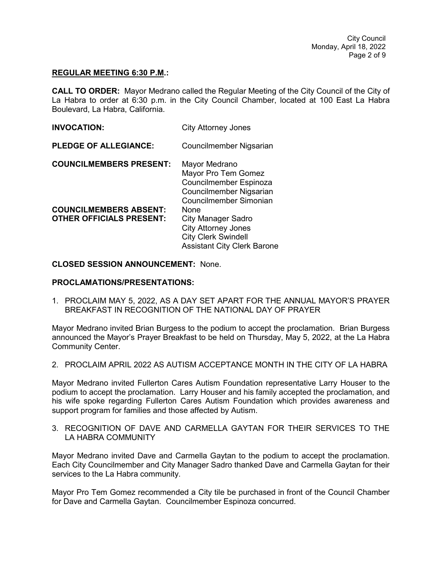#### **REGULAR MEETING 6:30 P.M.:**

**CALL TO ORDER:** Mayor Medrano called the Regular Meeting of the City Council of the City of La Habra to order at 6:30 p.m. in the City Council Chamber, located at 100 East La Habra Boulevard, La Habra, California.

| <b>INVOCATION:</b>                                               | <b>City Attorney Jones</b>                                                                                                          |
|------------------------------------------------------------------|-------------------------------------------------------------------------------------------------------------------------------------|
| <b>PLEDGE OF ALLEGIANCE:</b>                                     | Councilmember Nigsarian                                                                                                             |
| <b>COUNCILMEMBERS PRESENT:</b>                                   | Mayor Medrano<br>Mayor Pro Tem Gomez<br>Councilmember Espinoza<br>Councilmember Nigsarian<br>Councilmember Simonian                 |
| <b>COUNCILMEMBERS ABSENT:</b><br><b>OTHER OFFICIALS PRESENT:</b> | None<br><b>City Manager Sadro</b><br><b>City Attorney Jones</b><br><b>City Clerk Swindell</b><br><b>Assistant City Clerk Barone</b> |

### **CLOSED SESSION ANNOUNCEMENT:** None.

#### **PROCLAMATIONS/PRESENTATIONS:**

1. PROCLAIM MAY 5, 2022, AS A DAY SET APART FOR THE ANNUAL MAYOR'S PRAYER BREAKFAST IN RECOGNITION OF THE NATIONAL DAY OF PRAYER

Mayor Medrano invited Brian Burgess to the podium to accept the proclamation. Brian Burgess announced the Mayor's Prayer Breakfast to be held on Thursday, May 5, 2022, at the La Habra Community Center.

2. PROCLAIM APRIL 2022 AS AUTISM ACCEPTANCE MONTH IN THE CITY OF LA HABRA

Mayor Medrano invited Fullerton Cares Autism Foundation representative Larry Houser to the podium to accept the proclamation. Larry Houser and his family accepted the proclamation, and his wife spoke regarding Fullerton Cares Autism Foundation which provides awareness and support program for families and those affected by Autism.

3. RECOGNITION OF DAVE AND CARMELLA GAYTAN FOR THEIR SERVICES TO THE LA HABRA COMMUNITY

Mayor Medrano invited Dave and Carmella Gaytan to the podium to accept the proclamation. Each City Councilmember and City Manager Sadro thanked Dave and Carmella Gaytan for their services to the La Habra community.

Mayor Pro Tem Gomez recommended a City tile be purchased in front of the Council Chamber for Dave and Carmella Gaytan. Councilmember Espinoza concurred.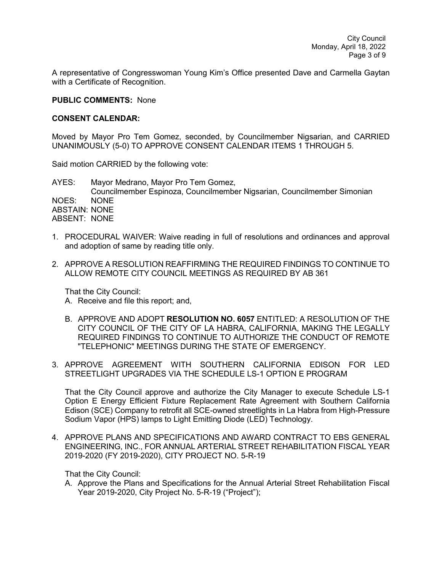A representative of Congresswoman Young Kim's Office presented Dave and Carmella Gaytan with a Certificate of Recognition.

#### **PUBLIC COMMENTS:** None

#### **CONSENT CALENDAR:**

Moved by Mayor Pro Tem Gomez, seconded, by Councilmember Nigsarian, and CARRIED UNANIMOUSLY (5-0) TO APPROVE CONSENT CALENDAR ITEMS 1 THROUGH 5.

Said motion CARRIED by the following vote:

AYES: Mayor Medrano, Mayor Pro Tem Gomez, Councilmember Espinoza, Councilmember Nigsarian, Councilmember Simonian NOES: NONE ABSTAIN: NONE ABSENT: NONE

- 1. PROCEDURAL WAIVER: Waive reading in full of resolutions and ordinances and approval and adoption of same by reading title only.
- 2. APPROVE A RESOLUTION REAFFIRMING THE REQUIRED FINDINGS TO CONTINUE TO ALLOW REMOTE CITY COUNCIL MEETINGS AS REQUIRED BY AB 361

That the City Council:

- A. Receive and file this report; and,
- B. APPROVE AND ADOPT **RESOLUTION NO. 6057** ENTITLED: A RESOLUTION OF THE CITY COUNCIL OF THE CITY OF LA HABRA, CALIFORNIA, MAKING THE LEGALLY REQUIRED FINDINGS TO CONTINUE TO AUTHORIZE THE CONDUCT OF REMOTE "TELEPHONIC" MEETINGS DURING THE STATE OF EMERGENCY.
- 3. APPROVE AGREEMENT WITH SOUTHERN CALIFORNIA EDISON FOR LED STREETLIGHT UPGRADES VIA THE SCHEDULE LS-1 OPTION E PROGRAM

That the City Council approve and authorize the City Manager to execute Schedule LS-1 Option E Energy Efficient Fixture Replacement Rate Agreement with Southern California Edison (SCE) Company to retrofit all SCE-owned streetlights in La Habra from High-Pressure Sodium Vapor (HPS) lamps to Light Emitting Diode (LED) Technology.

4. APPROVE PLANS AND SPECIFICATIONS AND AWARD CONTRACT TO EBS GENERAL ENGINEERING, INC., FOR ANNUAL ARTERIAL STREET REHABILITATION FISCAL YEAR 2019-2020 (FY 2019-2020), CITY PROJECT NO. 5-R-19

That the City Council:

A. Approve the Plans and Specifications for the Annual Arterial Street Rehabilitation Fiscal Year 2019-2020, City Project No. 5-R-19 ("Project");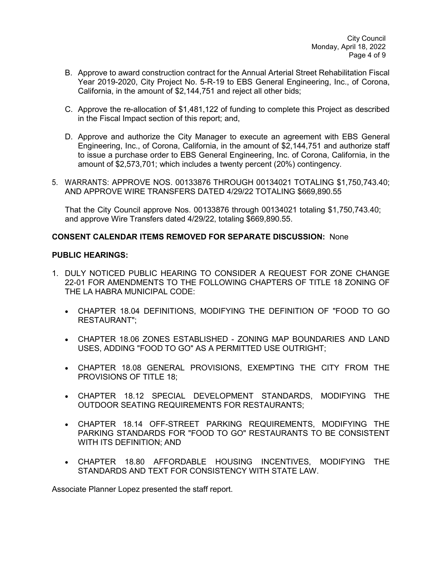- B. Approve to award construction contract for the Annual Arterial Street Rehabilitation Fiscal Year 2019-2020, City Project No. 5-R-19 to EBS General Engineering, Inc., of Corona, California, in the amount of \$2,144,751 and reject all other bids;
- C. Approve the re-allocation of \$1,481,122 of funding to complete this Project as described in the Fiscal Impact section of this report; and,
- D. Approve and authorize the City Manager to execute an agreement with EBS General Engineering, Inc., of Corona, California, in the amount of \$2,144,751 and authorize staff to issue a purchase order to EBS General Engineering, Inc. of Corona, California, in the amount of \$2,573,701; which includes a twenty percent (20%) contingency.
- 5. WARRANTS: APPROVE NOS. 00133876 THROUGH 00134021 TOTALING \$1,750,743.40; AND APPROVE WIRE TRANSFERS DATED 4/29/22 TOTALING \$669,890.55

That the City Council approve Nos. 00133876 through 00134021 totaling \$1,750,743.40; and approve Wire Transfers dated 4/29/22, totaling \$669,890.55.

# **CONSENT CALENDAR ITEMS REMOVED FOR SEPARATE DISCUSSION:** None

### **PUBLIC HEARINGS:**

- 1. DULY NOTICED PUBLIC HEARING TO CONSIDER A REQUEST FOR ZONE CHANGE 22-01 FOR AMENDMENTS TO THE FOLLOWING CHAPTERS OF TITLE 18 ZONING OF THE LA HABRA MUNICIPAL CODE:
	- CHAPTER 18.04 DEFINITIONS, MODIFYING THE DEFINITION OF "FOOD TO GO RESTAURANT";
	- CHAPTER 18.06 ZONES ESTABLISHED ZONING MAP BOUNDARIES AND LAND USES, ADDING "FOOD TO GO" AS A PERMITTED USE OUTRIGHT;
	- CHAPTER 18.08 GENERAL PROVISIONS, EXEMPTING THE CITY FROM THE PROVISIONS OF TITLE 18;
	- CHAPTER 18.12 SPECIAL DEVELOPMENT STANDARDS, MODIFYING THE OUTDOOR SEATING REQUIREMENTS FOR RESTAURANTS;
	- CHAPTER 18.14 OFF-STREET PARKING REQUIREMENTS, MODIFYING THE PARKING STANDARDS FOR "FOOD TO GO" RESTAURANTS TO BE CONSISTENT WITH ITS DEFINITION; AND
	- CHAPTER 18.80 AFFORDABLE HOUSING INCENTIVES, MODIFYING THE STANDARDS AND TEXT FOR CONSISTENCY WITH STATE LAW.

Associate Planner Lopez presented the staff report.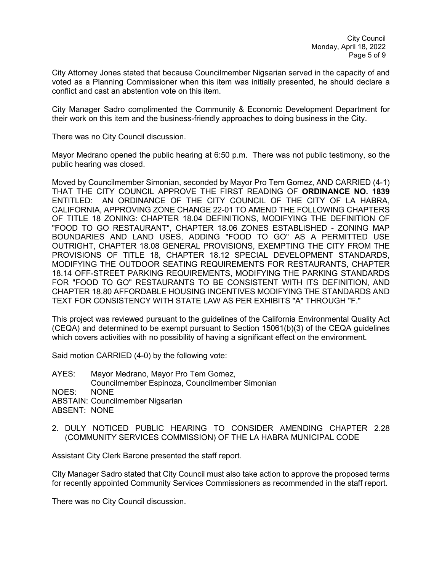City Attorney Jones stated that because Councilmember Nigsarian served in the capacity of and voted as a Planning Commissioner when this item was initially presented, he should declare a conflict and cast an abstention vote on this item.

City Manager Sadro complimented the Community & Economic Development Department for their work on this item and the business-friendly approaches to doing business in the City.

There was no City Council discussion.

Mayor Medrano opened the public hearing at 6:50 p.m. There was not public testimony, so the public hearing was closed.

Moved by Councilmember Simonian, seconded by Mayor Pro Tem Gomez, AND CARRIED (4-1) THAT THE CITY COUNCIL APPROVE THE FIRST READING OF **ORDINANCE NO. 1839**  ENTITLED: AN ORDINANCE OF THE CITY COUNCIL OF THE CITY OF LA HABRA, CALIFORNIA, APPROVING ZONE CHANGE 22-01 TO AMEND THE FOLLOWING CHAPTERS OF TITLE 18 ZONING: CHAPTER 18.04 DEFINITIONS, MODIFYING THE DEFINITION OF "FOOD TO GO RESTAURANT", CHAPTER 18.06 ZONES ESTABLISHED - ZONING MAP BOUNDARIES AND LAND USES, ADDING "FOOD TO GO" AS A PERMITTED USE OUTRIGHT, CHAPTER 18.08 GENERAL PROVISIONS, EXEMPTING THE CITY FROM THE PROVISIONS OF TITLE 18, CHAPTER 18.12 SPECIAL DEVELOPMENT STANDARDS, MODIFYING THE OUTDOOR SEATING REQUIREMENTS FOR RESTAURANTS, CHAPTER 18.14 OFF-STREET PARKING REQUIREMENTS, MODIFYING THE PARKING STANDARDS FOR "FOOD TO GO" RESTAURANTS TO BE CONSISTENT WITH ITS DEFINITION, AND CHAPTER 18.80 AFFORDABLE HOUSING INCENTIVES MODIFYING THE STANDARDS AND TEXT FOR CONSISTENCY WITH STATE LAW AS PER EXHIBITS "A" THROUGH "F."

This project was reviewed pursuant to the guidelines of the California Environmental Quality Act (CEQA) and determined to be exempt pursuant to Section 15061(b)(3) of the CEQA guidelines which covers activities with no possibility of having a significant effect on the environment.

Said motion CARRIED (4-0) by the following vote:

AYES: Mayor Medrano, Mayor Pro Tem Gomez, Councilmember Espinoza, Councilmember Simonian NOES: NONE ABSTAIN: Councilmember Nigsarian ABSENT: NONE

2. DULY NOTICED PUBLIC HEARING TO CONSIDER AMENDING CHAPTER 2.28 (COMMUNITY SERVICES COMMISSION) OF THE LA HABRA MUNICIPAL CODE

Assistant City Clerk Barone presented the staff report.

City Manager Sadro stated that City Council must also take action to approve the proposed terms for recently appointed Community Services Commissioners as recommended in the staff report.

There was no City Council discussion.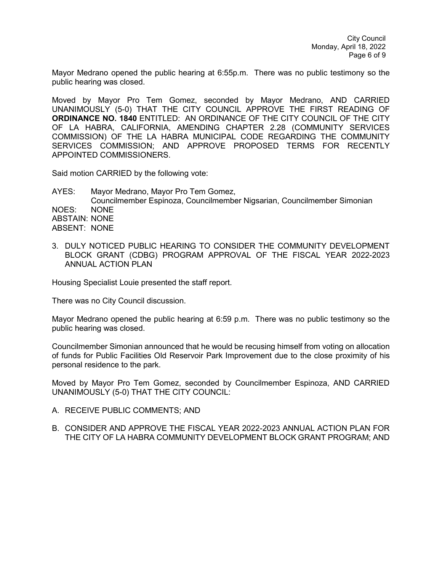Mayor Medrano opened the public hearing at 6:55p.m. There was no public testimony so the public hearing was closed.

Moved by Mayor Pro Tem Gomez, seconded by Mayor Medrano, AND CARRIED UNANIMOUSLY (5-0) THAT THE CITY COUNCIL APPROVE THE FIRST READING OF **ORDINANCE NO. 1840** ENTITLED: AN ORDINANCE OF THE CITY COUNCIL OF THE CITY OF LA HABRA, CALIFORNIA, AMENDING CHAPTER 2.28 (COMMUNITY SERVICES COMMISSION) OF THE LA HABRA MUNICIPAL CODE REGARDING THE COMMUNITY SERVICES COMMISSION; AND APPROVE PROPOSED TERMS FOR RECENTLY APPOINTED COMMISSIONERS.

Said motion CARRIED by the following vote:

AYES: Mayor Medrano, Mayor Pro Tem Gomez, Councilmember Espinoza, Councilmember Nigsarian, Councilmember Simonian NOES: NONE ABSTAIN: NONE ABSENT: NONE

3. DULY NOTICED PUBLIC HEARING TO CONSIDER THE COMMUNITY DEVELOPMENT BLOCK GRANT (CDBG) PROGRAM APPROVAL OF THE FISCAL YEAR 2022-2023 ANNUAL ACTION PLAN

Housing Specialist Louie presented the staff report.

There was no City Council discussion.

Mayor Medrano opened the public hearing at 6:59 p.m. There was no public testimony so the public hearing was closed.

Councilmember Simonian announced that he would be recusing himself from voting on allocation of funds for Public Facilities Old Reservoir Park Improvement due to the close proximity of his personal residence to the park.

Moved by Mayor Pro Tem Gomez, seconded by Councilmember Espinoza, AND CARRIED UNANIMOUSLY (5-0) THAT THE CITY COUNCIL:

- A. RECEIVE PUBLIC COMMENTS; AND
- B. CONSIDER AND APPROVE THE FISCAL YEAR 2022-2023 ANNUAL ACTION PLAN FOR THE CITY OF LA HABRA COMMUNITY DEVELOPMENT BLOCK GRANT PROGRAM; AND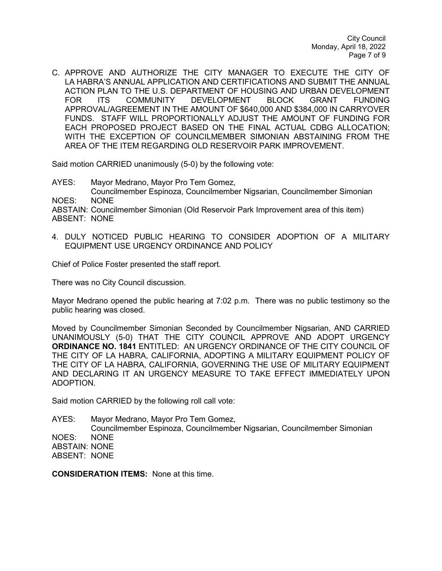C. APPROVE AND AUTHORIZE THE CITY MANAGER TO EXECUTE THE CITY OF LA HABRA'S ANNUAL APPLICATION AND CERTIFICATIONS AND SUBMIT THE ANNUAL ACTION PLAN TO THE U.S. DEPARTMENT OF HOUSING AND URBAN DEVELOPMENT<br>FOR ITS COMMUNITY DEVELOPMENT BLOCK GRANT FUNDING FOR ITS COMMUNITY DEVELOPMENT BLOCK GRANT FUNDING APPROVAL/AGREEMENT IN THE AMOUNT OF \$640,000 AND \$384,000 IN CARRYOVER FUNDS. STAFF WILL PROPORTIONALLY ADJUST THE AMOUNT OF FUNDING FOR EACH PROPOSED PROJECT BASED ON THE FINAL ACTUAL CDBG ALLOCATION; WITH THE EXCEPTION OF COUNCILMEMBER SIMONIAN ABSTAINING FROM THE AREA OF THE ITEM REGARDING OLD RESERVOIR PARK IMPROVEMENT.

Said motion CARRIED unanimously (5-0) by the following vote:

AYES: Mayor Medrano, Mayor Pro Tem Gomez, Councilmember Espinoza, Councilmember Nigsarian, Councilmember Simonian NOES: NONE ABSTAIN: Councilmember Simonian (Old Reservoir Park Improvement area of this item) ABSENT: NONE

4. DULY NOTICED PUBLIC HEARING TO CONSIDER ADOPTION OF A MILITARY EQUIPMENT USE URGENCY ORDINANCE AND POLICY

Chief of Police Foster presented the staff report.

There was no City Council discussion.

Mayor Medrano opened the public hearing at 7:02 p.m. There was no public testimony so the public hearing was closed.

Moved by Councilmember Simonian Seconded by Councilmember Nigsarian, AND CARRIED UNANIMOUSLY (5-0) THAT THE CITY COUNCIL APPROVE AND ADOPT URGENCY **ORDINANCE NO. 1841** ENTITLED: AN URGENCY ORDINANCE OF THE CITY COUNCIL OF THE CITY OF LA HABRA, CALIFORNIA, ADOPTING A MILITARY EQUIPMENT POLICY OF THE CITY OF LA HABRA, CALIFORNIA, GOVERNING THE USE OF MILITARY EQUIPMENT AND DECLARING IT AN URGENCY MEASURE TO TAKE EFFECT IMMEDIATELY UPON ADOPTION.

Said motion CARRIED by the following roll call vote:

AYES: Mayor Medrano, Mayor Pro Tem Gomez, Councilmember Espinoza, Councilmember Nigsarian, Councilmember Simonian NOES: NONE ABSTAIN: NONE ABSENT: NONE

**CONSIDERATION ITEMS:** None at this time.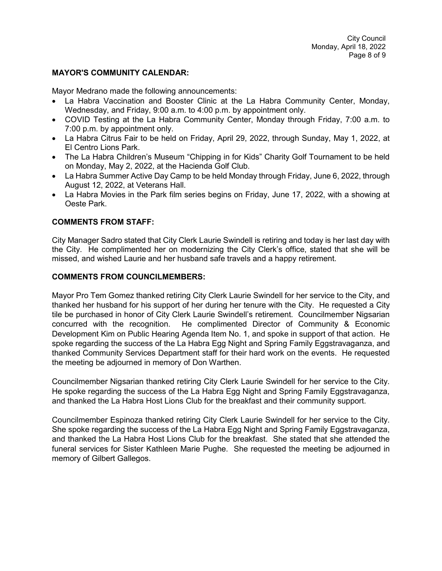### **MAYOR'S COMMUNITY CALENDAR:**

Mayor Medrano made the following announcements:

- La Habra Vaccination and Booster Clinic at the La Habra Community Center, Monday, Wednesday, and Friday, 9:00 a.m. to 4:00 p.m. by appointment only.
- COVID Testing at the La Habra Community Center, Monday through Friday, 7:00 a.m. to 7:00 p.m. by appointment only.
- La Habra Citrus Fair to be held on Friday, April 29, 2022, through Sunday, May 1, 2022, at El Centro Lions Park.
- The La Habra Children's Museum "Chipping in for Kids" Charity Golf Tournament to be held on Monday, May 2, 2022, at the Hacienda Golf Club.
- La Habra Summer Active Day Camp to be held Monday through Friday, June 6, 2022, through August 12, 2022, at Veterans Hall.
- La Habra Movies in the Park film series begins on Friday, June 17, 2022, with a showing at Oeste Park.

# **COMMENTS FROM STAFF:**

City Manager Sadro stated that City Clerk Laurie Swindell is retiring and today is her last day with the City. He complimented her on modernizing the City Clerk's office, stated that she will be missed, and wished Laurie and her husband safe travels and a happy retirement.

### **COMMENTS FROM COUNCILMEMBERS:**

Mayor Pro Tem Gomez thanked retiring City Clerk Laurie Swindell for her service to the City, and thanked her husband for his support of her during her tenure with the City. He requested a City tile be purchased in honor of City Clerk Laurie Swindell's retirement. Councilmember Nigsarian concurred with the recognition. He complimented Director of Community & Economic Development Kim on Public Hearing Agenda Item No. 1, and spoke in support of that action. He spoke regarding the success of the La Habra Egg Night and Spring Family Eggstravaganza, and thanked Community Services Department staff for their hard work on the events. He requested the meeting be adjourned in memory of Don Warthen.

Councilmember Nigsarian thanked retiring City Clerk Laurie Swindell for her service to the City. He spoke regarding the success of the La Habra Egg Night and Spring Family Eggstravaganza, and thanked the La Habra Host Lions Club for the breakfast and their community support.

Councilmember Espinoza thanked retiring City Clerk Laurie Swindell for her service to the City. She spoke regarding the success of the La Habra Egg Night and Spring Family Eggstravaganza, and thanked the La Habra Host Lions Club for the breakfast. She stated that she attended the funeral services for Sister Kathleen Marie Pughe. She requested the meeting be adjourned in memory of Gilbert Gallegos.